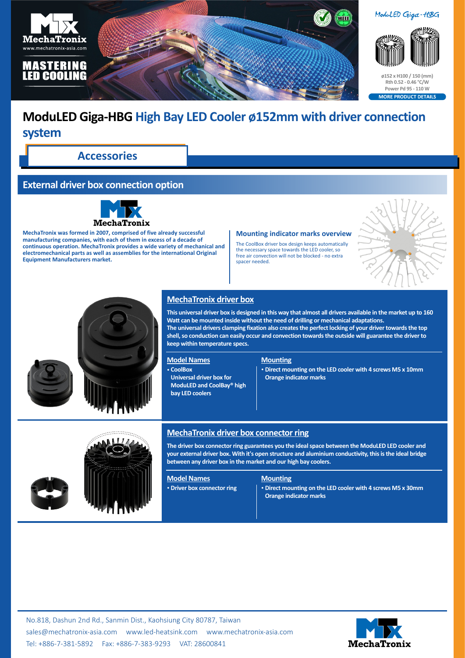

# **ModuLED Giga-HBG High Bay LED Cooler ø152mm with driver connection system**

**Accessories**

# **External driver box connection option**



**MechaTronix was formed in 2007, comprised of five already successful manufacturing companies, with each of them in excess of a decade of continuous operation. MechaTronix provides a wide variety of mechanical and electromechanical parts as well as assemblies for the international Original Equipment Manufacturers market.**

#### **Mounting indicator marks overview**

The CoolBox driver box design keeps automatically the necessary space towards the LED cooler, so free air convection will not be blocked - no extra spacer needed.





# **MechaTronix driver box**

**This universal driver box is designed in this way that almost all drivers available in the market up to 160 Watt can be mounted inside without the need of drilling or mechanical adaptations. The universal drivers clamping fixation also creates the perfect locking of your driver towards the top shell, so conduction can easily occur and convection towards the outside will guarantee the driver to keep within temperature specs.**

#### **Model Names**

• **CoolBox**

**Universal driver box for ModuLED and CoolBay® high bay LED coolers**

#### **Mounting**

• **Direct mounting on the LED cooler with 4 screws M5 x 10mm Orange indicator marks**



### **MechaTronix driver box connector ring**

**The driver box connector ring guarantees you the ideal space between the ModuLED LED cooler and your external driver box. With it's open structure and aluminium conductivity, this is the ideal bridge between any driver box in the market and our high bay coolers.**

## **Model Names**

• **Driver box connector ring**

#### **Mounting**

• **Direct mounting on the LED cooler with 4 screws M5 x 30mm Orange indicator marks**

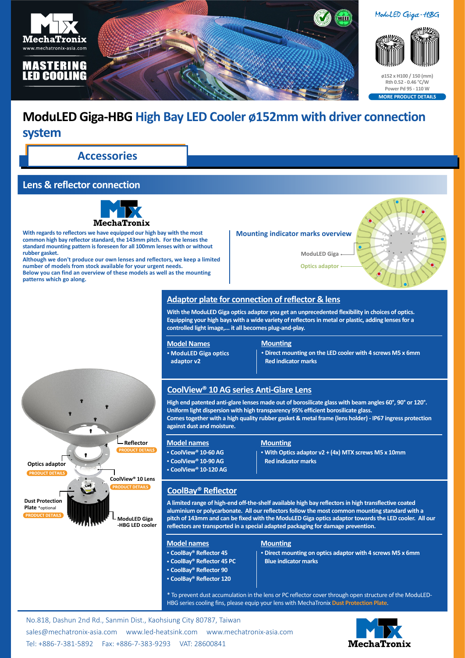

# **ModuLED Giga-HBG High Bay LED Cooler ø152mm with driver connection system**

**Accessories**

# **Lens & reflector connection**



**With regards to reflectors we have equipped our high bay with the most common high bay reflector standard, the 143mm pitch. For the lenses the standard mounting pattern is foreseen for all 100mm lenses with or without rubber gasket.**

**Although we don't produce our own lenses and reflectors, we keep a limited number of models from stock available for your urgent needs. Below you can find an overview of these models as well as the mounting patterns which go along.**

#### **Mounting indicator marks overview**

**ModuLED Giga**

**Optics adaptor**



# **Adaptor plate for connection of reflector & lens**

**With the ModuLED Giga optics adaptor you get an unprecedented flexibility in choices of optics. Equipping your high bays with a wide variety of reflectors in metal or plastic, adding lenses for a controlled light image,... it all becomes plug-and-play.**

### **Model Names**

• **ModuLED Giga optics adaptor v2**

#### **Mounting**

• **Direct mounting on the LED cooler with 4 screws M5 x 6mm Red indicator marks**

## **CoolView® 10 AG series Anti-Glare Lens**

**High end patented anti-glare lenses made out of borosilicate glass with beam angles 60°, 90° or 120°. Uniform light dispersion with high transparency 95% efficient borosilicate glass. Comes together with a high quality rubber gasket & metal frame (lens holder) - IP67 ingress protection against dust and moisture.**



#### **Model names** • **CoolView® 10-60 AG**

- • **CoolView® 10-90 AG**
- • **CoolView® 10-120 AG**

#### **Mounting**

• **With Optics adaptor v2 + (4x) MTX screws M5 x 10mm Red indicator marks**

## **CoolBay® Reflector**

**A limited range of high-end off-the-shelf available high bay reflectors in high transflective coated aluminium or polycarbonate. All our reflectors follow the most common mounting standard with a pitch of 143mm and can be fixed with the ModuLED Giga optics adaptor towards the LED cooler. All our reflectors are transported in a special adapted packaging for damage prevention.**

#### **Model names**

- • **CoolBay® Reflector 45**
- • **CoolBay® Reflector 45 PC**
- • **CoolBay® Reflector 90**
- • **CoolBay® Reflector 120**

#### **Mounting**

• **Direct mounting on optics adaptor with 4 screws M5 x 6mm Blue indicator marks**

\* To prevent dust accumulation in the lens or PC reflector cover through open structure of the ModuLED-HBG series cooling fins, please equip your lens with MechaTronix **[Dust Protection Plate](https://www.led-heatsink.com/search?q=DPP)**.

No.818, Dashun 2nd Rd., Sanmin Dist., Kaohsiung City 80787, Taiwan [sales@mechatronix-asia.com](mailto:sales%40mechatronix-asia.com?subject=) [www.led-heatsink.com](http://www.led-heatsink.com) [www.mechatronix-asia.com](http://www.mechatronix-asia.com) Tel: +886-7-381-5892 Fax: +886-7-383-9293 VAT: 28600841